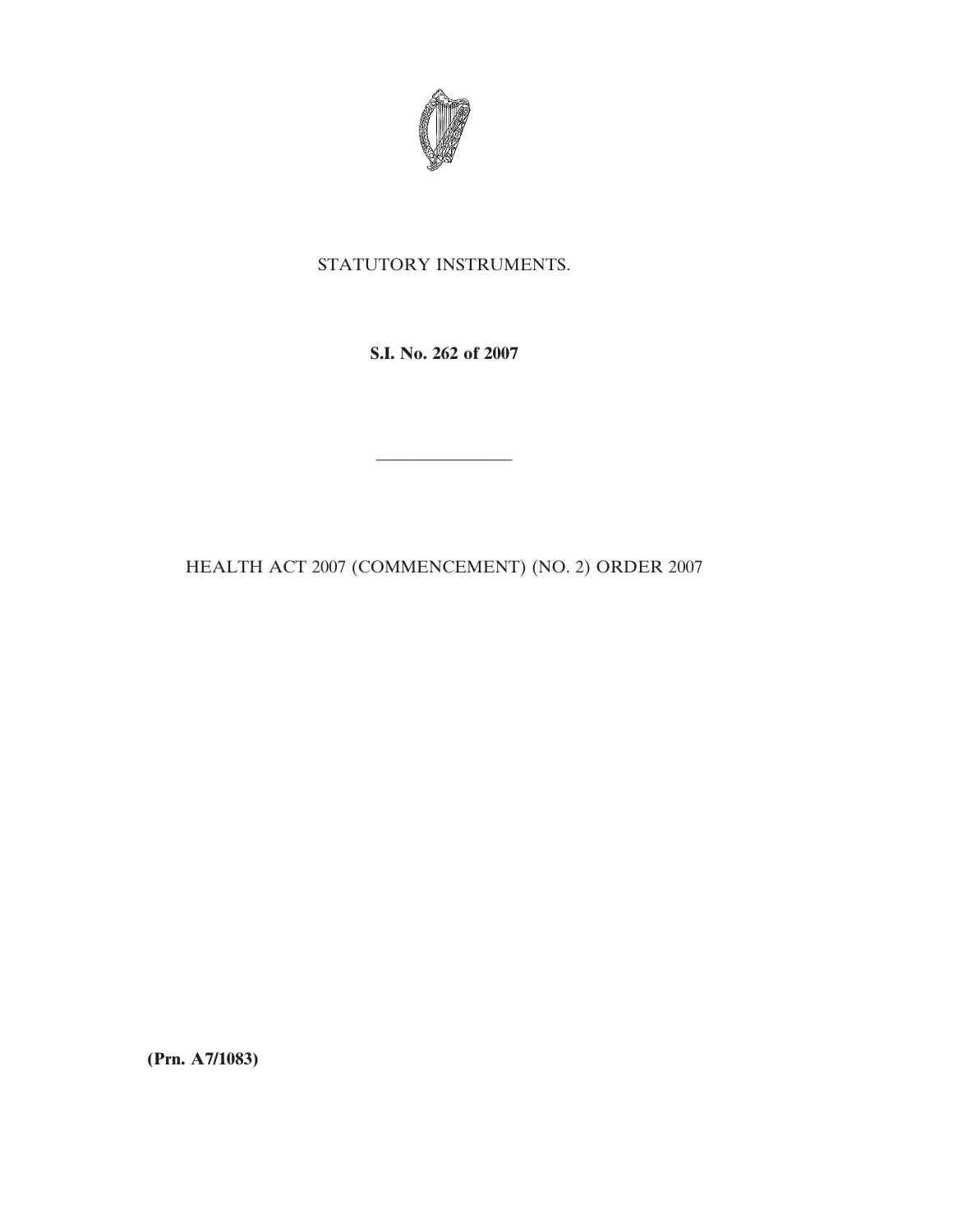

## STATUTORY INSTRUMENTS.

**S.I. No. 262 of 2007**

————————

HEALTH ACT 2007 (COMMENCEMENT) (NO. 2) ORDER 2007

**(Prn. A7/1083)**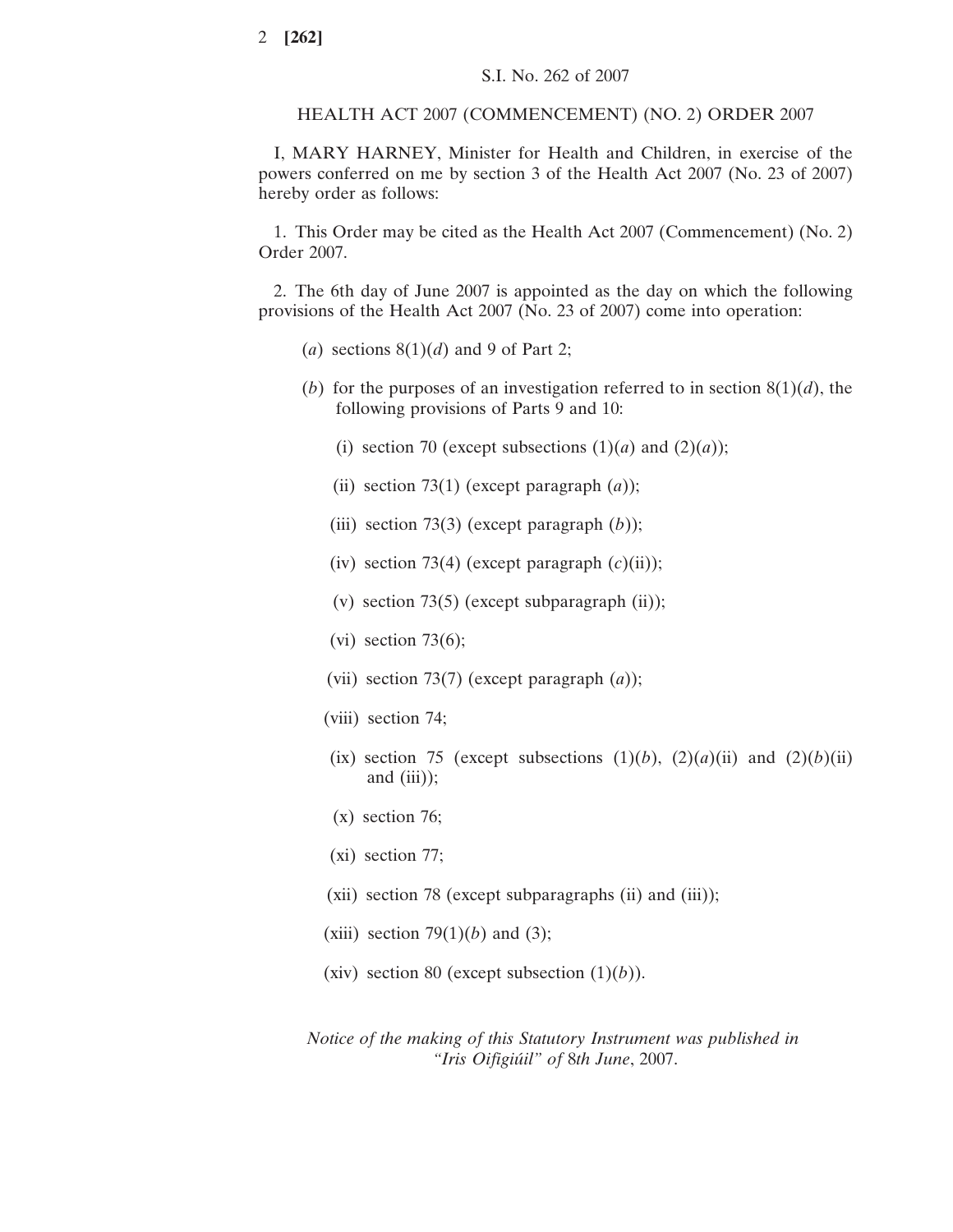## HEALTH ACT 2007 (COMMENCEMENT) (NO. 2) ORDER 2007

I, MARY HARNEY, Minister for Health and Children, in exercise of the powers conferred on me by section 3 of the Health Act 2007 (No. 23 of 2007) hereby order as follows:

1. This Order may be cited as the Health Act 2007 (Commencement) (No. 2) Order 2007.

2. The 6th day of June 2007 is appointed as the day on which the following provisions of the Health Act 2007 (No. 23 of 2007) come into operation:

- (*a*) sections  $8(1)(d)$  and 9 of Part 2;
- (*b*) for the purposes of an investigation referred to in section  $8(1)(d)$ , the following provisions of Parts 9 and 10:
	- (i) section 70 (except subsections  $(1)(a)$  and  $(2)(a)$ );
	- (ii) section 73(1) (except paragraph  $(a)$ );
	- (iii) section 73(3) (except paragraph (*b*));
	- (iv) section 73(4) (except paragraph  $(c)(ii)$ );
	- (v) section 73(5) (except subparagraph  $(ii)$ );
	- (vi) section  $73(6)$ ;
	- (vii) section 73(7) (except paragraph (*a*));
	- (viii) section 74;
	- (ix) section 75 (except subsections  $(1)(b)$ ,  $(2)(a)(ii)$  and  $(2)(b)(ii)$ and  $(iii)$ ;
	- (x) section 76;
	- (xi) section 77;
	- (xii) section 78 (except subparagraphs (ii) and (iii));
	- (xiii) section  $79(1)(b)$  and (3);
	- (xiv) section 80 (except subsection  $(1)(b)$ ).

*Notice of the making of this Statutory Instrument was published in "Iris Oifigiu´il" of* 8*th June*, 2007.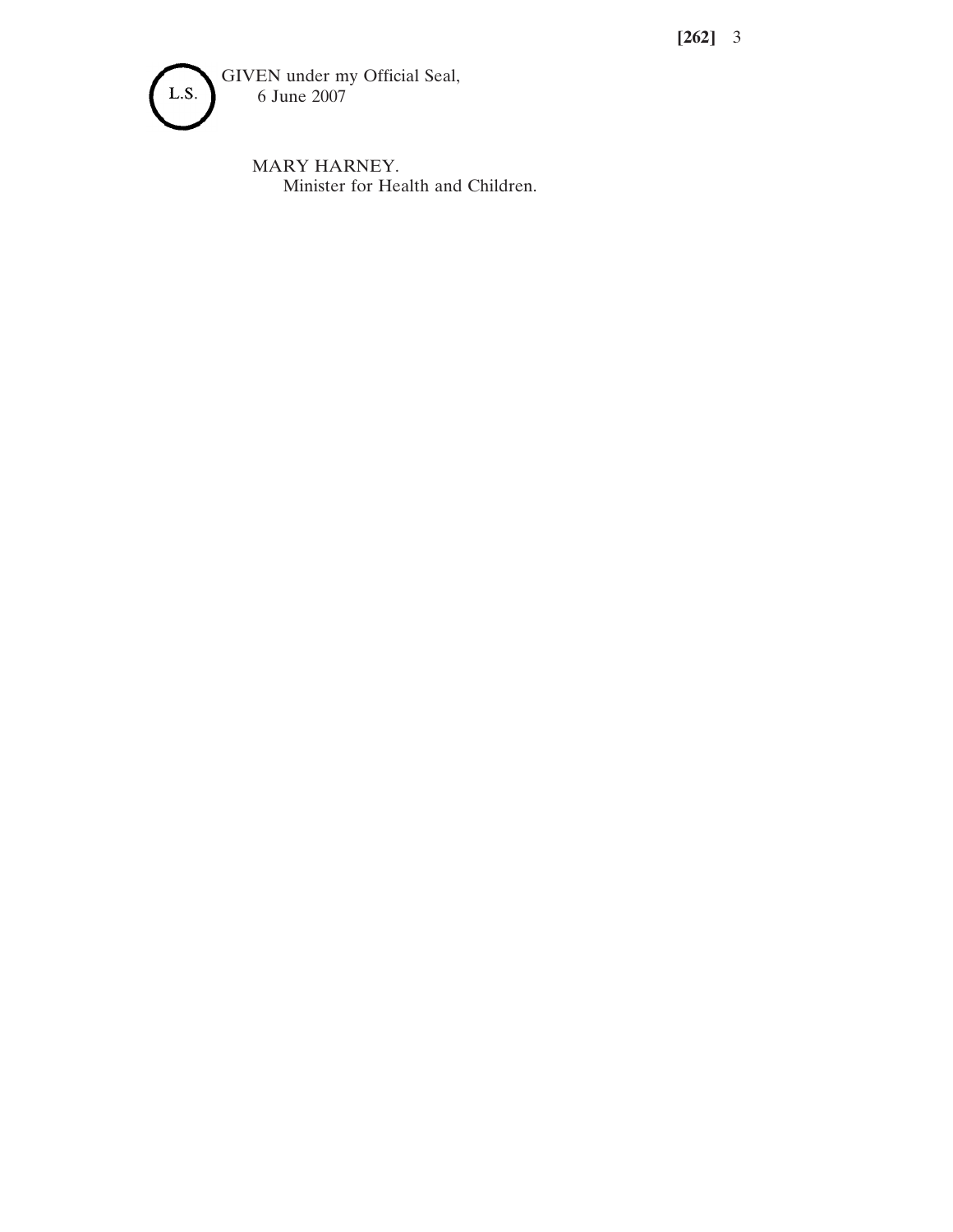**[262]** 3



MARY HARNEY. Minister for Health and Children.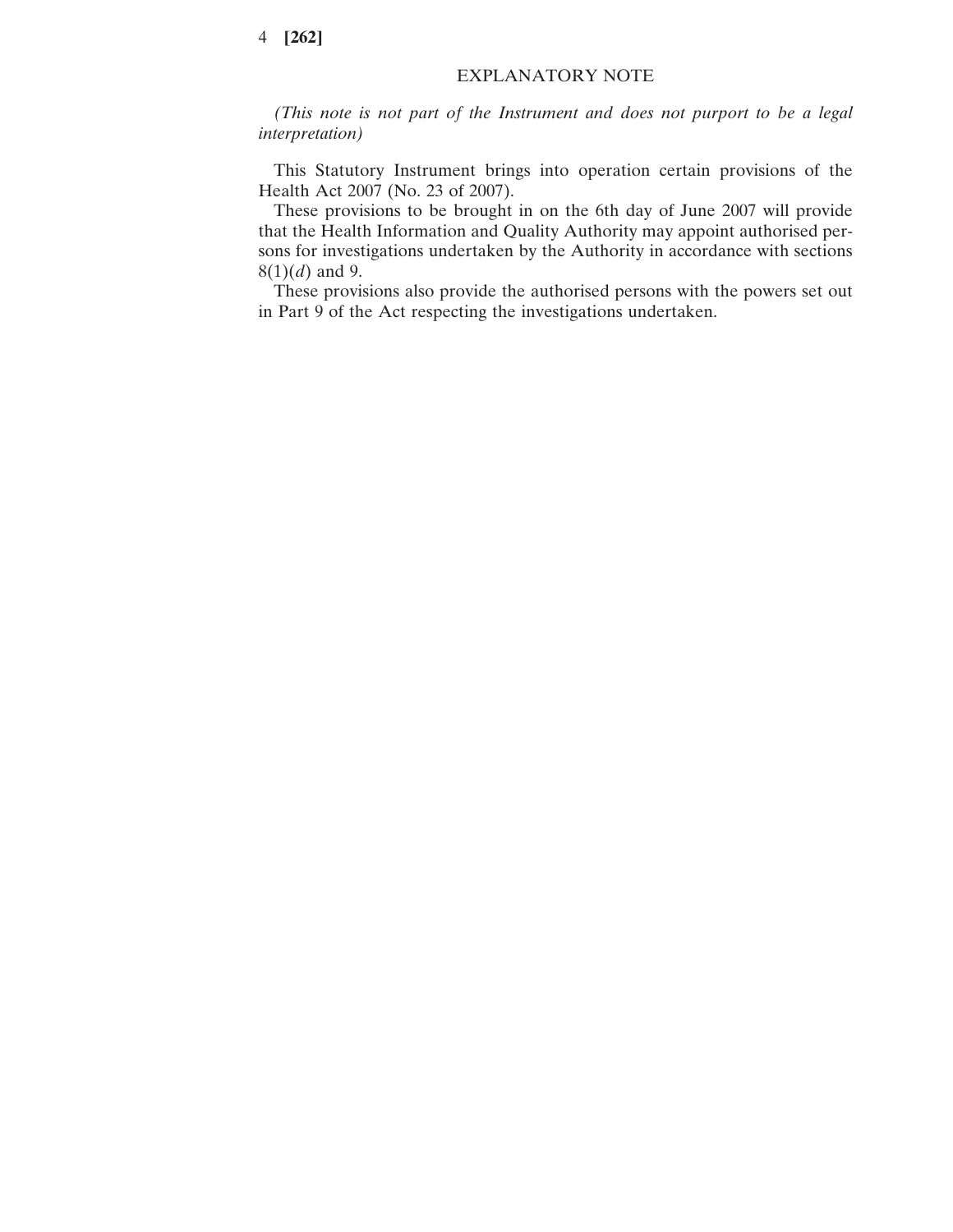## 4 **[262]**

## EXPLANATORY NOTE

*(This note is not part of the Instrument and does not purport to be a legal interpretation)*

This Statutory Instrument brings into operation certain provisions of the Health Act 2007 (No. 23 of 2007).

These provisions to be brought in on the 6th day of June 2007 will provide that the Health Information and Quality Authority may appoint authorised persons for investigations undertaken by the Authority in accordance with sections 8(1)(*d*) and 9.

These provisions also provide the authorised persons with the powers set out in Part 9 of the Act respecting the investigations undertaken.